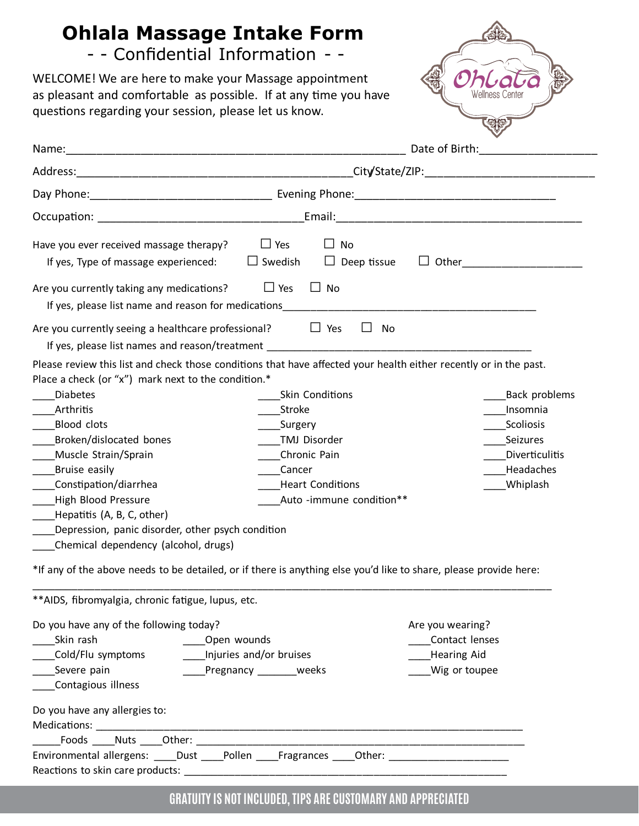## **Ohlala Massage Intake Form**

## - - Confidential Information - -

WELCOME! We are here to make your Massage appointment as pleasant and comfortable as possible. If at any time you have questions regarding your session, please let us know.



|                                                                                                                                                                                             | Date of Birth: National Property of Birth:                      |               |                      |  |
|---------------------------------------------------------------------------------------------------------------------------------------------------------------------------------------------|-----------------------------------------------------------------|---------------|----------------------|--|
|                                                                                                                                                                                             |                                                                 |               |                      |  |
|                                                                                                                                                                                             |                                                                 |               |                      |  |
|                                                                                                                                                                                             |                                                                 |               |                      |  |
| Have you ever received massage therapy?<br>If yes, Type of massage experienced:                                                                                                             | $\Box$ Yes<br>$\Box$ No<br>$\Box$ Swedish<br>$\Box$ Deep tissue |               |                      |  |
| Are you currently taking any medications?<br>If yes, please list name and reason for medications                                                                                            | D Yes<br>$\Box$ No                                              |               |                      |  |
| Are you currently seeing a healthcare professional?                                                                                                                                         | $\Box$ Yes<br>$\perp$                                           | No            |                      |  |
| Please review this list and check those conditions that have affected your health either recently or in the past.<br>Place a check (or "x") mark next to the condition.*<br><b>Diabetes</b> | Skin Conditions                                                 |               | <b>Back problems</b> |  |
| Arthritis                                                                                                                                                                                   | Stroke                                                          |               | Insomnia             |  |
| <b>Blood clots</b>                                                                                                                                                                          | Surgery                                                         |               | Scoliosis            |  |
| Broken/dislocated bones                                                                                                                                                                     | <b>TMJ Disorder</b>                                             |               | Seizures             |  |
| Muscle Strain/Sprain                                                                                                                                                                        | Chronic Pain                                                    |               | Diverticulitis       |  |
| Bruise easily                                                                                                                                                                               | Cancer                                                          |               | Headaches            |  |
| Constipation/diarrhea                                                                                                                                                                       | <b>Heart Conditions</b>                                         |               | Whiplash             |  |
| High Blood Pressure                                                                                                                                                                         | Auto -immune condition**                                        |               |                      |  |
| Hepatitis (A, B, C, other)                                                                                                                                                                  |                                                                 |               |                      |  |
| Depression, panic disorder, other psych condition                                                                                                                                           |                                                                 |               |                      |  |
| Chemical dependency (alcohol, drugs)                                                                                                                                                        |                                                                 |               |                      |  |
| *If any of the above needs to be detailed, or if there is anything else you'd like to share, please provide here:                                                                           |                                                                 |               |                      |  |
| ** AIDS, fibromyalgia, chronic fatigue, lupus, etc.                                                                                                                                         |                                                                 |               |                      |  |
| Do you have any of the following today?                                                                                                                                                     |                                                                 |               | Are you wearing?     |  |
| Skin rash                                                                                                                                                                                   | ____Open wounds                                                 |               | Contact lenses       |  |
| __Cold/Flu symptoms                                                                                                                                                                         | Injuries and/or bruises                                         |               | <b>Hearing Aid</b>   |  |
| Severe pain                                                                                                                                                                                 | Pregnancy _______ weeks                                         | Wig or toupee |                      |  |
| Contagious illness                                                                                                                                                                          |                                                                 |               |                      |  |
| Do you have any allergies to:                                                                                                                                                               |                                                                 |               |                      |  |
|                                                                                                                                                                                             |                                                                 |               |                      |  |
| Environmental allergens: ____Dust ____Pollen ____Fragrances ____Other: _______________________                                                                                              |                                                                 |               |                      |  |
|                                                                                                                                                                                             |                                                                 |               |                      |  |

## **GRATUITY IS NOT INCLUDED, TIPS ARE CUSTOMARY AND APPRECIATED**